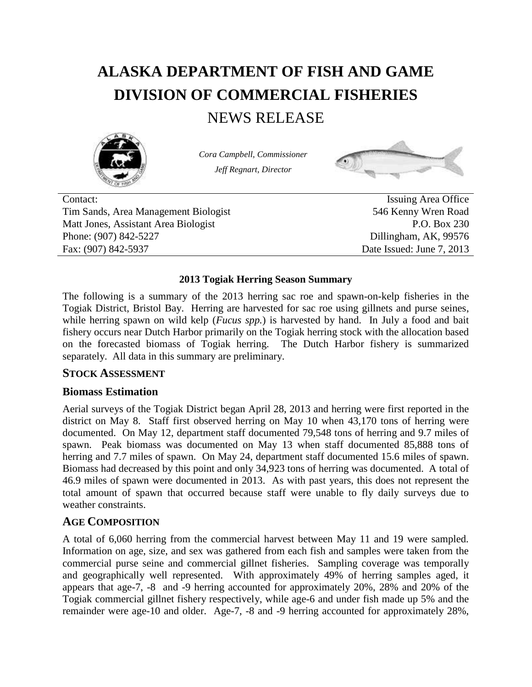# **ALASKA DEPARTMENT OF FISH AND GAME DIVISION OF COMMERCIAL FISHERIES**

# NEWS RELEASE



*Cora Campbell, Commissioner Jeff Regnart, Director*



Contact: Issuing Area Office Tim Sands, Area Management Biologist 546 Kenny Wren Road Matt Jones, Assistant Area Biologist P.O. Box 230 Phone: (907) 842-5227 Dillingham, AK, 99576 Fax: (907) 842-5937 Date Issued: June 7, 2013

#### **2013 Togiak Herring Season Summary**

The following is a summary of the 2013 herring sac roe and spawn-on-kelp fisheries in the Togiak District, Bristol Bay. Herring are harvested for sac roe using gillnets and purse seines, while herring spawn on wild kelp (*Fucus spp.*) is harvested by hand. In July a food and bait fishery occurs near Dutch Harbor primarily on the Togiak herring stock with the allocation based on the forecasted biomass of Togiak herring. The Dutch Harbor fishery is summarized separately. All data in this summary are preliminary.

#### **STOCK ASSESSMENT**

#### **Biomass Estimation**

Aerial surveys of the Togiak District began April 28, 2013 and herring were first reported in the district on May 8. Staff first observed herring on May 10 when 43,170 tons of herring were documented. On May 12, department staff documented 79,548 tons of herring and 9.7 miles of spawn. Peak biomass was documented on May 13 when staff documented 85,888 tons of herring and 7.7 miles of spawn. On May 24, department staff documented 15.6 miles of spawn. Biomass had decreased by this point and only 34,923 tons of herring was documented. A total of 46.9 miles of spawn were documented in 2013. As with past years, this does not represent the total amount of spawn that occurred because staff were unable to fly daily surveys due to weather constraints.

### **AGE COMPOSITION**

A total of 6,060 herring from the commercial harvest between May 11 and 19 were sampled. Information on age, size, and sex was gathered from each fish and samples were taken from the commercial purse seine and commercial gillnet fisheries. Sampling coverage was temporally and geographically well represented. With approximately 49% of herring samples aged, it appears that age-7, -8 and -9 herring accounted for approximately 20%, 28% and 20% of the Togiak commercial gillnet fishery respectively, while age-6 and under fish made up 5% and the remainder were age-10 and older. Age-7, -8 and -9 herring accounted for approximately 28%,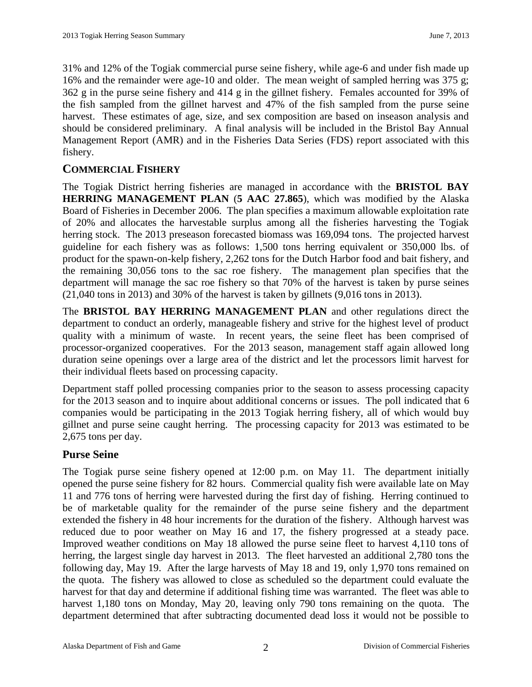31% and 12% of the Togiak commercial purse seine fishery, while age-6 and under fish made up 16% and the remainder were age-10 and older. The mean weight of sampled herring was 375 g; 362 g in the purse seine fishery and 414 g in the gillnet fishery. Females accounted for 39% of the fish sampled from the gillnet harvest and 47% of the fish sampled from the purse seine harvest. These estimates of age, size, and sex composition are based on inseason analysis and should be considered preliminary. A final analysis will be included in the Bristol Bay Annual Management Report (AMR) and in the Fisheries Data Series (FDS) report associated with this fishery.

## **COMMERCIAL FISHERY**

The Togiak District herring fisheries are managed in accordance with the **BRISTOL BAY HERRING MANAGEMENT PLAN** (**5 AAC 27.865**), which was modified by the Alaska Board of Fisheries in December 2006. The plan specifies a maximum allowable exploitation rate of 20% and allocates the harvestable surplus among all the fisheries harvesting the Togiak herring stock. The 2013 preseason forecasted biomass was 169,094 tons. The projected harvest guideline for each fishery was as follows: 1,500 tons herring equivalent or 350,000 lbs. of product for the spawn-on-kelp fishery, 2,262 tons for the Dutch Harbor food and bait fishery, and the remaining 30,056 tons to the sac roe fishery. The management plan specifies that the department will manage the sac roe fishery so that 70% of the harvest is taken by purse seines (21,040 tons in 2013) and 30% of the harvest is taken by gillnets (9,016 tons in 2013).

The **BRISTOL BAY HERRING MANAGEMENT PLAN** and other regulations direct the department to conduct an orderly, manageable fishery and strive for the highest level of product quality with a minimum of waste. In recent years, the seine fleet has been comprised of processor-organized cooperatives. For the 2013 season, management staff again allowed long duration seine openings over a large area of the district and let the processors limit harvest for their individual fleets based on processing capacity.

Department staff polled processing companies prior to the season to assess processing capacity for the 2013 season and to inquire about additional concerns or issues. The poll indicated that 6 companies would be participating in the 2013 Togiak herring fishery, all of which would buy gillnet and purse seine caught herring. The processing capacity for 2013 was estimated to be 2,675 tons per day.

### **Purse Seine**

The Togiak purse seine fishery opened at 12:00 p.m. on May 11. The department initially opened the purse seine fishery for 82 hours. Commercial quality fish were available late on May 11 and 776 tons of herring were harvested during the first day of fishing. Herring continued to be of marketable quality for the remainder of the purse seine fishery and the department extended the fishery in 48 hour increments for the duration of the fishery. Although harvest was reduced due to poor weather on May 16 and 17, the fishery progressed at a steady pace. Improved weather conditions on May 18 allowed the purse seine fleet to harvest 4,110 tons of herring, the largest single day harvest in 2013. The fleet harvested an additional 2,780 tons the following day, May 19. After the large harvests of May 18 and 19, only 1,970 tons remained on the quota. The fishery was allowed to close as scheduled so the department could evaluate the harvest for that day and determine if additional fishing time was warranted. The fleet was able to harvest 1,180 tons on Monday, May 20, leaving only 790 tons remaining on the quota. The department determined that after subtracting documented dead loss it would not be possible to